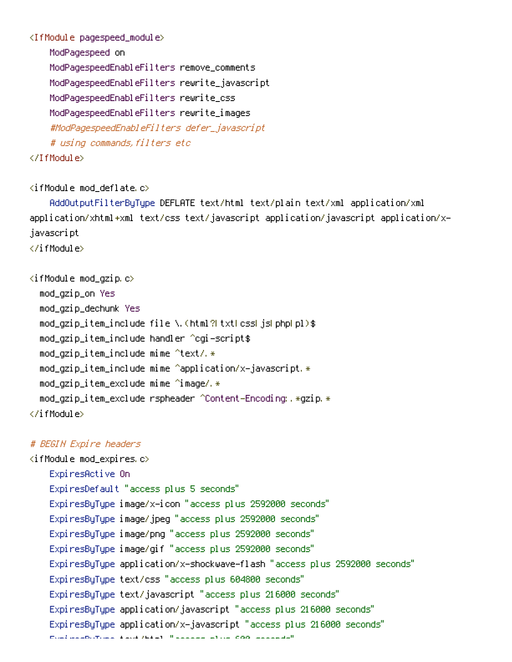# <IfModule pagespeed\_module>

ModPagespeed on ModPagespeedEnableFilters remove\_comments ModPagespeedEnableFilters rewrite\_javascript ModPagespeedEnableFilters rewrite\_css ModPagespeedEnableFilters rewrite\_images #ModPagespeedEnableFilters defer\_javascript # using commands,filters etc

# </IfModule>

#### <ifModule mod\_deflate.c>

AddOutputFilterByType DEFLATE text/html text/plain text/xml application/xml application/xhtml+xml text/css text/javascript application/javascript application/xjavascript </ifModule>

<ifModule mod\_gzip.c> mod\_gzip\_on Yes mod\_gzip\_dechunk Yes mod\_gzip\_item\_include file \.(html?|txt|css|js|php|pl)\$ mod\_gzip\_item\_include handler ^cgi-script\$  $mod_q$ zip\_item\_include mime ^text/. $*$ mod\_gzip\_item\_include mime ^application/x-javascript.\* mod\_gzip\_item\_exclude mime ^image/.\* mod\_gzip\_item\_exclude rspheader ^Content-Encoding:.\*gzip.\* </ifModule>

### # BEGIN Expire headers

<ifModule mod\_expires.c> ExpiresActive On ExpiresDefault "access plus 5 seconds" ExpiresByType image/x-icon "access plus 2592000 seconds" ExpiresByType image/jpeg "access plus 2592000 seconds" ExpiresByType image/png "access plus 2592000 seconds" ExpiresByType image/gif "access plus 2592000 seconds" ExpiresByType application/x-shockwave-flash "access plus 2592000 seconds" ExpiresByType text/css "access plus 604800 seconds" ExpiresByType text/javascript "access plus 216000 seconds" ExpiresByType application/javascript "access plus 216000 seconds" ExpiresByType application/x-javascript "access plus 216000 seconds" ExpiresByType text/html "access plus 600 seconds"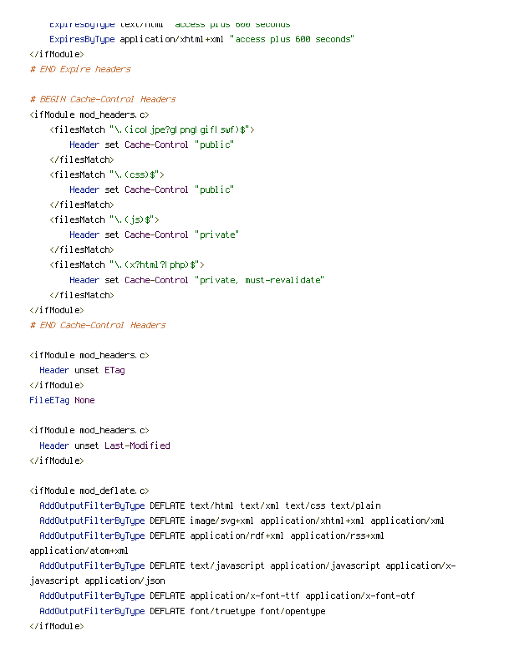```
ExpiresByType text/ntml "access plus 600 seconds"
    ExpiresByType application/xhtml+xml "access plus 600 seconds"
</ifModule>
# END Expire headers
# BEGIN Cache-Control Headers
<ifModule mod_headers.c>
    <filesMatch "\.(ico|jpe?g|png|gif|swf)$">
        Header set Cache-Control "public"
    </filesMatch>
    <filesMatch "\.(css)$">
```

```
Header set Cache-Control "public"
```
</filesMatch>

```
<filesMatch "\.(js)$">
```

```
Header set Cache-Control "private"
```
</filesMatch>

```
<filesMatch "\.(x?html?|php)$">
```

```
Header set Cache-Control "private, must-revalidate"
```

```
</filesMatch>
```

```
</ifModule>
```

```
# END Cache-Control Headers
```

```
\langleifModule mod headers.c\rangleHeader unset ETag
</ifModule>
FileETag None
```

```
\langleifModule mod headers.c\rangleHeader unset Last-Modified
</ifModule>
```

```
\langleifModule mod deflate.c\rangleAddOutputFilterByType DEFLATE text/html text/xml text/css text/plain
  AddOutputFilterByType DEFLATE image/svg+xml application/xhtml+xml application/xml
  AddOutputFilterByType DEFLATE application/rdf+xml application/rss+xml
application/atom+xml
  AddOutputFilterByType DEFLATE text/javascript application/javascript application/x-
javascript application/json
  AddOutputFilterByType DEFLATE application/x-font-ttf application/x-font-otf
  AddOutputFilterByType DEFLATE font/truetype font/opentype
```
</ifModule>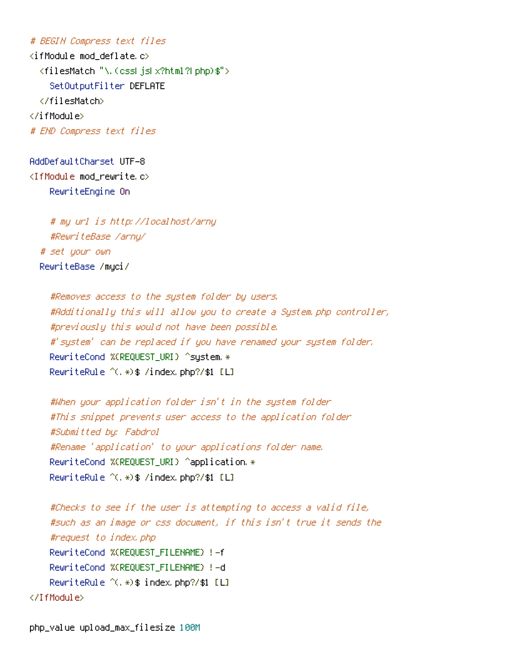# # BEGIN Compress text files

<ifModule mod\_deflate.c> <filesMatch "\.(css|js|x?html?|php)\$"> SetOutputFilter DEFLATE </filesMatch> </ifModule> # END Compress text files

AddDefaultCharset UTF-8 <IfModule mod\_rewrite.c> RewriteEngine On

# my url is http://localhost/arny #RewriteBase /arny/ # set your own RewriteBase /myci/

#Removes access to the system folder by users. #Additionally this will allow you to create <sup>a</sup> System.php controller, #previously this would not have been possible. #'system' can be replaced if you have renamed your system folder. RewriteCond %{REQUEST\_URI} ^system.\* RewriteRule ^(.\*)\$ /index.php?/\$1 [L]

#When your application folder isn't in the system folder #This snippet prevents user access to the application folder #Submitted by: Fabdrol #Rename 'application' to your applications folder name. RewriteCond %{REQUEST\_URI} ^application.\* RewriteRule ^(.\*)\$ /index.php?/\$1 [L]

```
#Checks to see if the user is attempting to access a valid file,
    #such as an image or css document, if this isn't true it sends the
    #request to index.php
    RewriteCond %{REQUEST_FILENAME} !-f
    RewriteCond %{REQUEST_FILENAME} !-d
    RewriteRule ^(.*)$ index.php?/$1 [L]
</IfModule>
```